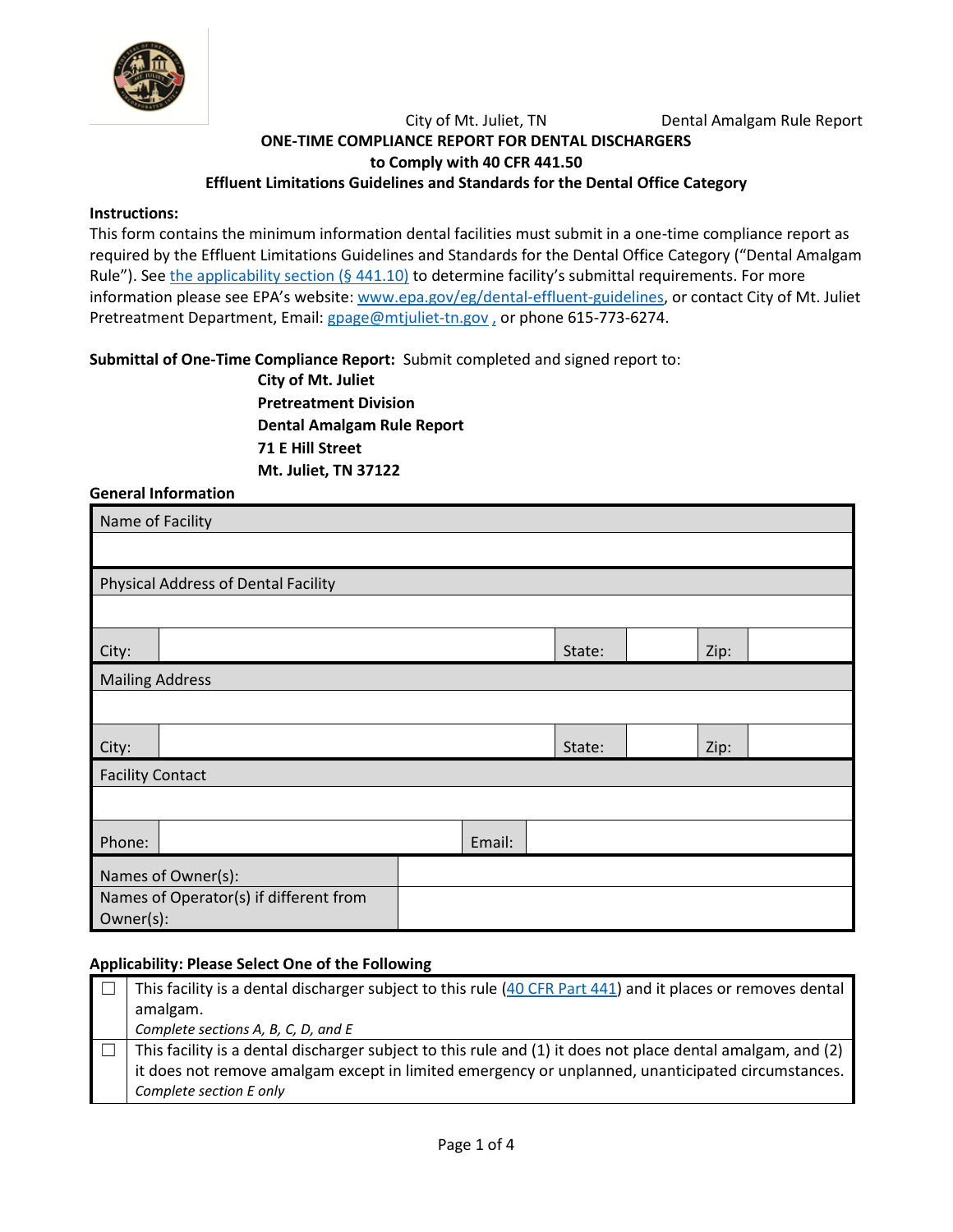

City of Mt. Juliet, TN Dental Amalgam Rule Report

# **ONE-TIME COMPLIANCE REPORT FOR DENTAL DISCHARGERS to Comply with 40 CFR 441.50 Effluent Limitations Guidelines and Standards for the Dental Office Category**

#### **Instructions:**

This form contains the minimum information dental facilities must submit in a one-time compliance report as required by the Effluent Limitations Guidelines and Standards for the Dental Office Category ("Dental Amalgam Rule"). See [the applicability section \(§ 441.10\)](https://www.federalregister.gov/d/2017-12338/p-264) to determine facility's submittal requirements. For more information please see EPA's website: [www.epa.gov/eg/dental-effluent-guidelines,](https://www.epa.gov/eg/dental-effluent-guidelines) or contact City of Mt. Juliet Pretreatment Department, Email[: gpage@mtjuliet-tn.gov](mailto:gpage@mtjuliet-tn.gov), or phone 615-773-6274.

**Submittal of One-Time Compliance Report:** Submit completed and signed report to:

**City of Mt. Juliet Pretreatment Division Dental Amalgam Rule Report 71 E Hill Street Mt. Juliet, TN 37122**

**General Information**

| Name of Facility        |                                        |  |        |        |      |  |
|-------------------------|----------------------------------------|--|--------|--------|------|--|
|                         |                                        |  |        |        |      |  |
|                         | Physical Address of Dental Facility    |  |        |        |      |  |
|                         |                                        |  |        |        |      |  |
| City:                   |                                        |  |        | State: | Zip: |  |
| <b>Mailing Address</b>  |                                        |  |        |        |      |  |
|                         |                                        |  |        |        |      |  |
| City:                   |                                        |  | State: | Zip:   |      |  |
| <b>Facility Contact</b> |                                        |  |        |        |      |  |
|                         |                                        |  |        |        |      |  |
| Phone:                  | Email:                                 |  |        |        |      |  |
| Names of Owner(s):      |                                        |  |        |        |      |  |
|                         | Names of Operator(s) if different from |  |        |        |      |  |
|                         | Owner(s):                              |  |        |        |      |  |

### **Applicability: Please Select One of the Following**

| This facility is a dental discharger subject to this rule (40 CFR Part 441) and it places or removes dental |
|-------------------------------------------------------------------------------------------------------------|
| amalgam.                                                                                                    |
| Complete sections A, B, C, D, and E                                                                         |
| This facility is a dental discharger subject to this rule and (1) it does not place dental amalgam, and (2) |
| it does not remove amalgam except in limited emergency or unplanned, unanticipated circumstances.           |
| Complete section E only                                                                                     |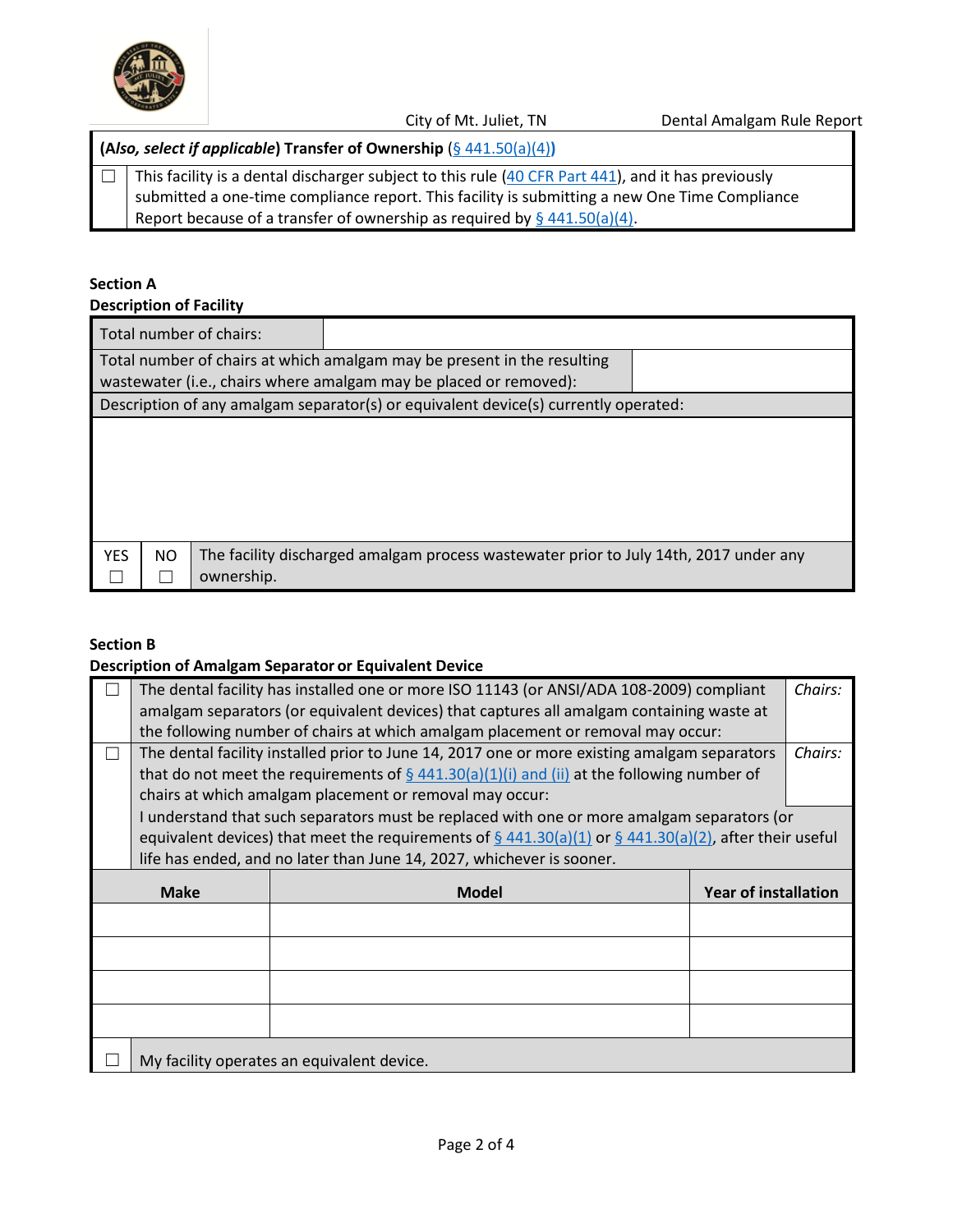

City of Mt. Juliet, TN Dental Amalgam Rule Report

**(A***lso, select if applicable***) Transfer of Ownership** (§ [441.50\(a\)\(4\)](https://www.federalregister.gov/d/2017-12338/p-321)**)**

 $\Box$  This facility is a dental discharger subject to this rule [\(40 CFR Part 441\)](https://www.ecfr.gov/cgi-bin/text-idx?SID=c7d79f042ec05143ccc83e8a8d216342&mc=true&node=pt40.32.441&rgn=div5), and it has previously submitted a one-time compliance report. This facility is submitting a new One Time Compliance Report because of a transfer of ownership as required by  $\frac{6441.50(a)(4)}{4}$ .

## **Section A**

**Description of Facility**

| Total number of chairs: |                                                                                                                                              |                                                                                       |  |  |  |
|-------------------------|----------------------------------------------------------------------------------------------------------------------------------------------|---------------------------------------------------------------------------------------|--|--|--|
|                         | Total number of chairs at which amalgam may be present in the resulting<br>wastewater (i.e., chairs where amalgam may be placed or removed): |                                                                                       |  |  |  |
|                         |                                                                                                                                              | Description of any amalgam separator(s) or equivalent device(s) currently operated:   |  |  |  |
|                         |                                                                                                                                              |                                                                                       |  |  |  |
| <b>YES</b><br>NO.       | ownership.                                                                                                                                   | The facility discharged amalgam process wastewater prior to July 14th, 2017 under any |  |  |  |

### **Section B**

#### **Description of Amalgam Separator or Equivalent Device**

|             | Chairs:<br>The dental facility has installed one or more ISO 11143 (or ANSI/ADA 108-2009) compliant |                                                                                                                                |                             |         |
|-------------|-----------------------------------------------------------------------------------------------------|--------------------------------------------------------------------------------------------------------------------------------|-----------------------------|---------|
|             | amalgam separators (or equivalent devices) that captures all amalgam containing waste at            |                                                                                                                                |                             |         |
|             |                                                                                                     | the following number of chairs at which amalgam placement or removal may occur:                                                |                             |         |
|             |                                                                                                     | The dental facility installed prior to June 14, 2017 one or more existing amalgam separators                                   |                             | Chairs: |
|             |                                                                                                     | that do not meet the requirements of $\S$ 441.30(a)(1)(i) and (ii) at the following number of                                  |                             |         |
|             |                                                                                                     | chairs at which amalgam placement or removal may occur:                                                                        |                             |         |
|             |                                                                                                     | I understand that such separators must be replaced with one or more amalgam separators (or                                     |                             |         |
|             |                                                                                                     | equivalent devices) that meet the requirements of $\frac{6}{9}$ 441.30(a)(1) or $\frac{6}{9}$ 441.30(a)(2), after their useful |                             |         |
|             |                                                                                                     | life has ended, and no later than June 14, 2027, whichever is sooner.                                                          |                             |         |
| <b>Make</b> |                                                                                                     | <b>Model</b>                                                                                                                   | <b>Year of installation</b> |         |
|             |                                                                                                     |                                                                                                                                |                             |         |
|             |                                                                                                     |                                                                                                                                |                             |         |
|             |                                                                                                     |                                                                                                                                |                             |         |
|             |                                                                                                     |                                                                                                                                |                             |         |
|             | My facility operates an equivalent device.                                                          |                                                                                                                                |                             |         |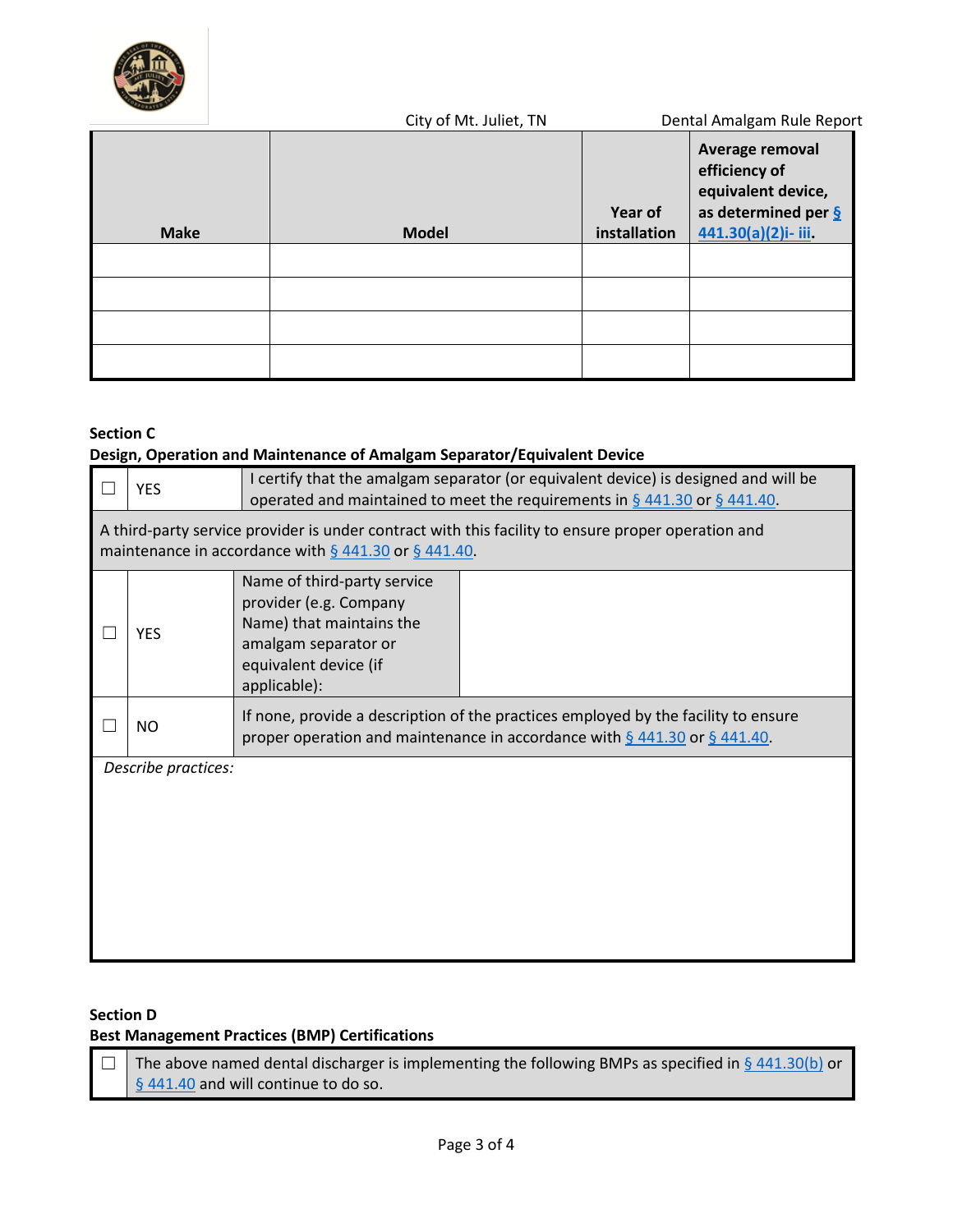

|             | City of Mt. Juliet, TN |                         | Dental Amalgam Rule Report                                                                                      |
|-------------|------------------------|-------------------------|-----------------------------------------------------------------------------------------------------------------|
| <b>Make</b> | <b>Model</b>           | Year of<br>installation | Average removal<br>efficiency of<br>equivalent device,<br>as determined per $\frac{6}{2}$<br>441.30(a)(2)i-iii. |
|             |                        |                         |                                                                                                                 |
|             |                        |                         |                                                                                                                 |
|             |                        |                         |                                                                                                                 |
|             |                        |                         |                                                                                                                 |

## **Section C**

## **Design, Operation and Maintenance of Amalgam Separator/Equivalent Device**

| <b>YES</b>                                                                                                                                                       | I certify that the amalgam separator (or equivalent device) is designed and will be<br>operated and maintained to meet the requirements in $\S$ 441.30 or $\S$ 441.40. |  |  |  |
|------------------------------------------------------------------------------------------------------------------------------------------------------------------|------------------------------------------------------------------------------------------------------------------------------------------------------------------------|--|--|--|
| A third-party service provider is under contract with this facility to ensure proper operation and<br>maintenance in accordance with $\S$ 441.30 or $\S$ 441.40. |                                                                                                                                                                        |  |  |  |
| <b>YES</b>                                                                                                                                                       | Name of third-party service<br>provider (e.g. Company<br>Name) that maintains the<br>amalgam separator or<br>equivalent device (if<br>applicable):                     |  |  |  |
| <b>NO</b>                                                                                                                                                        | If none, provide a description of the practices employed by the facility to ensure<br>proper operation and maintenance in accordance with $\S$ 441.30 or $\S$ 441.40.  |  |  |  |
| Describe practices:                                                                                                                                              |                                                                                                                                                                        |  |  |  |

### **Section D**

## **Best Management Practices (BMP) Certifications**

| $\Box$ The above named dental discharger is implementing the following BMPs as specified in § 441.30(b) or |
|------------------------------------------------------------------------------------------------------------|
| § 441.40 and will continue to do so.                                                                       |